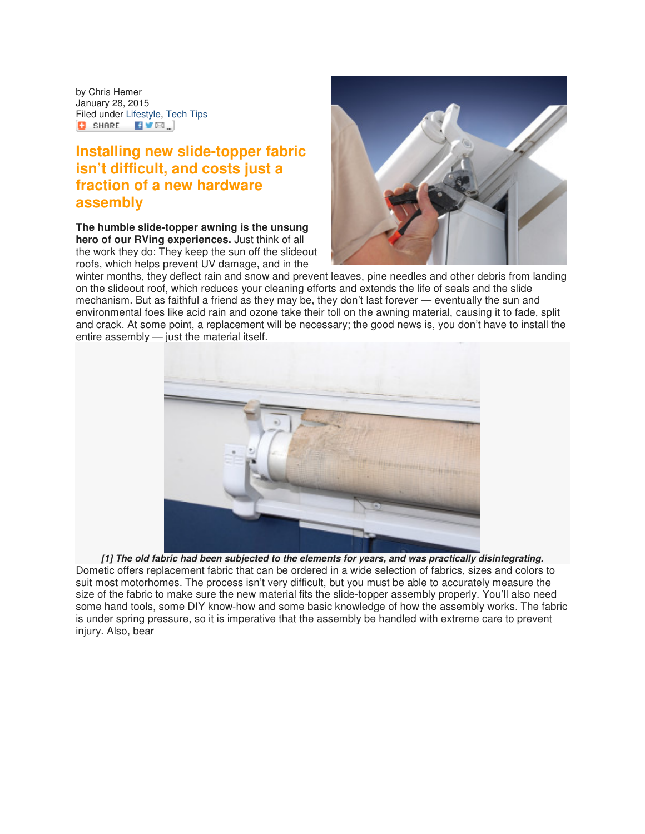by Chris Hemer January 28, 2015 Filed under Lifestyle, Tech Tips  $\begin{bmatrix} 1 & 1 & 1 \\ 0 & 1 & 1 \end{bmatrix}$  share  $\begin{bmatrix} 1 & 1 & 1 \\ 1 & 1 & 1 \end{bmatrix}$ 

## **Installing new slide-topper fabric isn't difficult, and costs just a fraction of a new hardware assembly**

**The humble slide-topper awning is the unsung hero of our RVing experiences.** Just think of all the work they do: They keep the sun off the slideout roofs, which helps prevent UV damage, and in the



winter months, they deflect rain and snow and prevent leaves, pine needles and other debris from landing on the slideout roof, which reduces your cleaning efforts and extends the life of seals and the slide mechanism. But as faithful a friend as they may be, they don't last forever — eventually the sun and environmental foes like acid rain and ozone take their toll on the awning material, causing it to fade, split and crack. At some point, a replacement will be necessary; the good news is, you don't have to install the entire assembly — just the material itself.



**[1] The old fabric had been subjected to the elements for years, and was practically disintegrating.** Dometic offers replacement fabric that can be ordered in a wide selection of fabrics, sizes and colors to suit most motorhomes. The process isn't very difficult, but you must be able to accurately measure the size of the fabric to make sure the new material fits the slide-topper assembly properly. You'll also need some hand tools, some DIY know-how and some basic knowledge of how the assembly works. The fabric is under spring pressure, so it is imperative that the assembly be handled with extreme care to prevent injury. Also, bear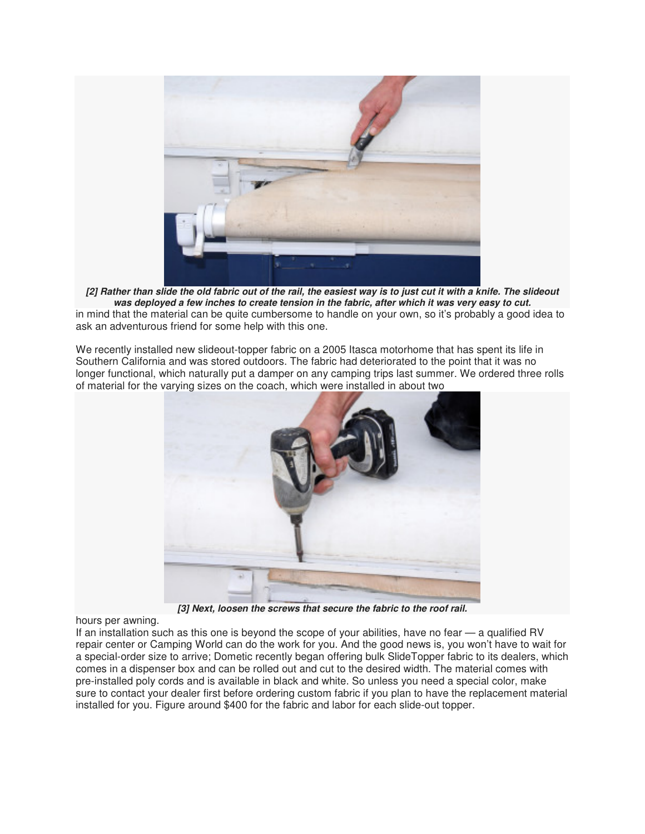

**[2] Rather than slide the old fabric out of the rail, the easiest way is to just cut it with a knife. The slideout was deployed a few inches to create tension in the fabric, after which it was very easy to cut.** in mind that the material can be quite cumbersome to handle on your own, so it's probably a good idea to ask an adventurous friend for some help with this one.

We recently installed new slideout-topper fabric on a 2005 Itasca motorhome that has spent its life in Southern California and was stored outdoors. The fabric had deteriorated to the point that it was no longer functional, which naturally put a damper on any camping trips last summer. We ordered three rolls of material for the varying sizes on the coach, which were installed in about two



**[3] Next, loosen the screws that secure the fabric to the roof rail.**

hours per awning.

If an installation such as this one is beyond the scope of your abilities, have no fear — a qualified RV repair center or Camping World can do the work for you. And the good news is, you won't have to wait for a special-order size to arrive; Dometic recently began offering bulk SlideTopper fabric to its dealers, which comes in a dispenser box and can be rolled out and cut to the desired width. The material comes with pre-installed poly cords and is available in black and white. So unless you need a special color, make sure to contact your dealer first before ordering custom fabric if you plan to have the replacement material installed for you. Figure around \$400 for the fabric and labor for each slide-out topper.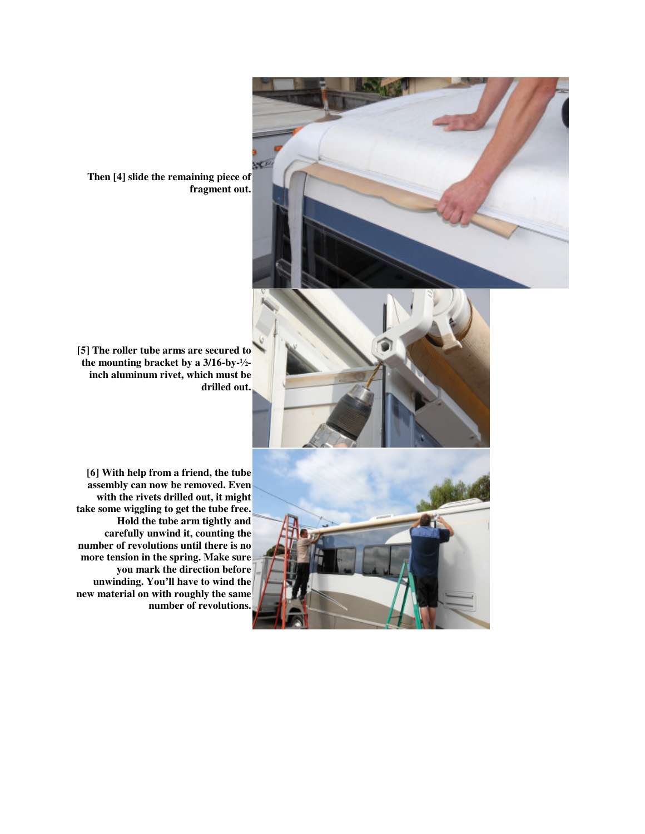

**Then [4] slide the remaining piece of fragment out.**





**[6] With help from a friend, the tube assembly can now be removed. Even with the rivets drilled out, it might take some wiggling to get the tube free. Hold the tube arm tightly and carefully unwind it, counting the number of revolutions until there is no more tension in the spring. Make sure you mark the direction before unwinding. You'll have to wind the new material on with roughly the same number of revolutions.**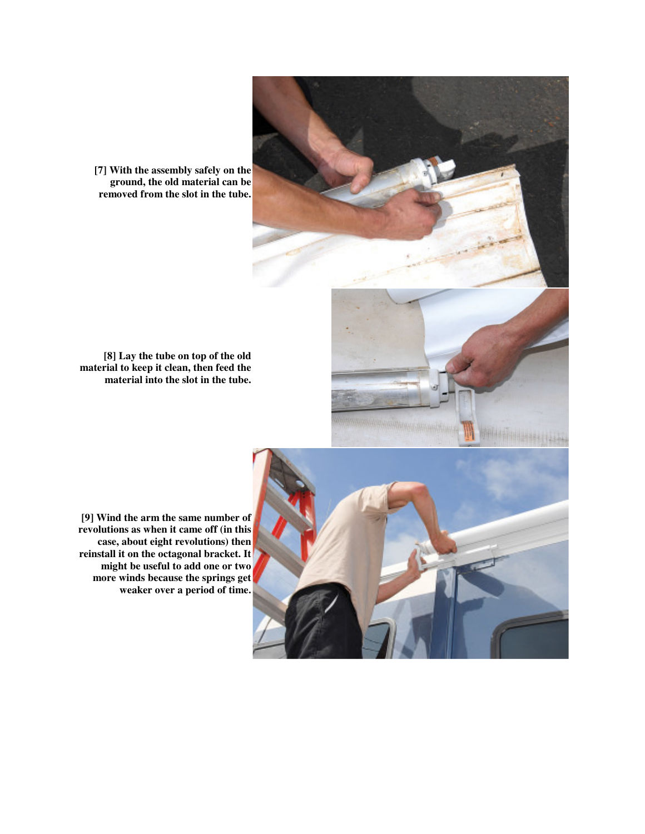

**[7] With the assembly safely on the ground, the old material can be removed from the slot in the tube.**

**[8] Lay the tube on top of the old material to keep it clean, then feed the material into the slot in the tube.**

**[9] Wind the arm the same number of revolutions as when it came off (in this case, about eight revolutions) then reinstall it on the octagonal bracket. It might be useful to add one or two more winds because the springs get weaker over a period of time.**